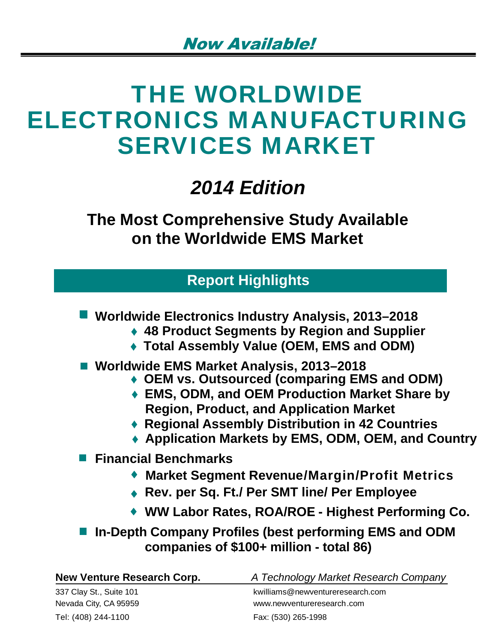# THE WORLDWIDE ELECTRONICS MANUFACTURING SERVICES MARKET

## *2014 Edition*

**The Most Comprehensive Study Available on the Worldwide EMS Market**

## **Report Highlights**

- **Worldwide Electronics Industry Analysis, 2013–2018** 
	- **48 Product Segments by Region and Supplier**
	- **Total Assembly Value (OEM, EMS and ODM)**
- **Worldwide EMS Market Analysis, 2013–2018** 
	- **OEM vs. Outsourced (comparing EMS and ODM)**
	- **EMS, ODM, and OEM Production Market Share by Region, Product, and Application Market**
	- **Regional Assembly Distribution in 42 Countries**
	- **Application Markets by EMS, ODM, OEM, and Country**
- **Financial Benchmarks** 
	- **Market Segment Revenue/Margin/Profit Metrics**
	- **Rev. per Sq. Ft./ Per SMT line/ Per Employee**
	- ◆ WW Labor Rates, ROA/ROE Highest Performing Co.
- **In-Depth Company Profiles (best performing EMS and ODM companies of \$100+ million - total 86)**

| <b>New Venture Research Corp.</b> | A Technology Market Research Company |
|-----------------------------------|--------------------------------------|
| 337 Clay St., Suite 101           | kwilliams@newventureresearch.com     |
| Nevada City, CA 95959             | www.newventureresearch.com           |
| Tel: (408) 244-1100               | Fax: (530) 265-1998                  |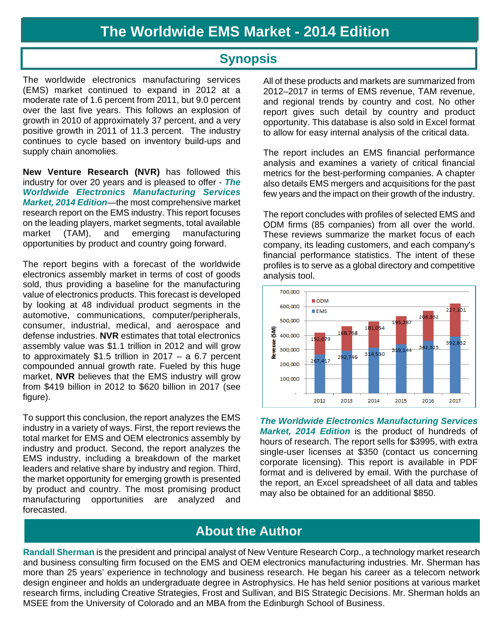### **Synopsis**

The worldwide electronics manufacturing services (EMS) market continued to expand in 2012 at a moderate rate of 1.6 percent from 2011, but 9.0 percent over the last five years. This follows an explosion of growth in 2010 of approximately 37 percent, and a very positive growth in 2011 of 11.3 percent. The industry continues to cycle based on inventory build-ups and supply chain anomolies.

**New Venture Research (NVR)** has followed this industry for over 20 years and is pleased to offer - *The Worldwide Electronics Manufacturing Services Market, 2014 Edition*—the most comprehensive market research report on the EMS industry. This report focuses on the leading players, market segments, total available market (TAM), and emerging manufacturing opportunities by product and country going forward.

The report begins with a forecast of the worldwide electronics assembly market in terms of cost of goods sold, thus providing a baseline for the manufacturing value of electronics products. This forecast is developed by looking at 48 individual product segments in the automotive, communications, computer/peripherals, consumer, industrial, medical, and aerospace and defense industries. **NVR** estimates that total electronics assembly value was \$1.1 trillion in 2012 and will grow to approximately \$1.5 trillion in 2017 – a 6.7 percent compounded annual growth rate. Fueled by this huge market, **NVR** believes that the EMS industry will grow from \$419 billion in 2012 to \$620 billion in 2017 (see figure).

To support this conclusion, the report analyzes the EMS industry in a variety of ways. First, the report reviews the total market for EMS and OEM electronics assembly by industry and product. Second, the report analyzes the EMS industry, including a breakdown of the market leaders and relative share by industry and region. Third, the market opportunity for emerging growth is presented by product and country. The most promising product manufacturing opportunities are analyzed and forecasted.

All of these products and markets are summarized from 2012–2017 in terms of EMS revenue, TAM revenue, and regional trends by country and cost. No other report gives such detail by country and product opportunity. This database is also sold in Excel format to allow for easy internal analysis of the critical data.

The report includes an EMS financial performance analysis and examines a variety of critical financial metrics for the best-performing companies. A chapter also details EMS mergers and acquisitions for the past few years and the impact on their growth of the industry.

The report concludes with profiles of selected EMS and ODM firms (85 companies) from all over the world. These reviews summarize the market focus of each company, its leading customers, and each company's financial performance statistics. The intent of these profiles is to serve as a global directory and competitive analysis tool.



*The Worldwide Electronics Manufacturing Services Market, 2014 Edition* is the product of hundreds of hours of research. The report sells for \$3995, with extra single-user licenses at \$350 (contact us concerning corporate licensing). This report is available in PDF format and is delivered by email. With the purchase of the report, an Excel spreadsheet of all data and tables may also be obtained for an additional \$850.

## **About the Author**

**Randall Sherman** is the president and principal analyst of New Venture Research Corp., a technology market research and business consulting firm focused on the EMS and OEM electronics manufacturing industries. Mr. Sherman has more than 25 years' experience in technology and business research. He began his career as a telecom network design engineer and holds an undergraduate degree in Astrophysics. He has held senior positions at various market research firms, including Creative Strategies, Frost and Sullivan, and BIS Strategic Decisions. Mr. Sherman holds an MSEE from the University of Colorado and an MBA from the Edinburgh School of Business.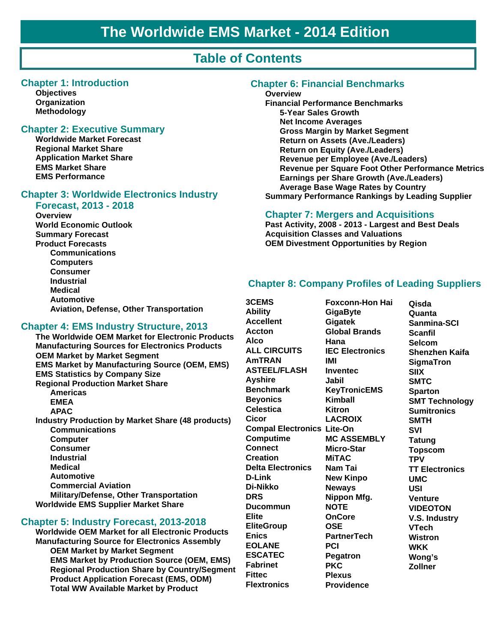## **Table of Contents**

#### **Chapter 1: Introduction**

**Objectives Organization Methodology**

#### **Chapter 2: Executive Summary**

**Worldwide Market Forecast Regional Market Share Application Market Share EMS Market Share EMS Performance**

#### **Chapter 3: Worldwide Electronics Industry**

#### **Forecast, 2013 - 2018**

**Overview World Economic Outlook Summary Forecast Product Forecasts Communications Computers Consumer Industrial Medical Automotive Aviation, Defense, Other Transportation**

#### **Chapter 4: EMS Industry Structure, 2013**

**The Worldwide OEM Market for Electronic Products Manufacturing Sources for Electronics Products OEM Market by Market Segment EMS Market by Manufacturing Source (OEM, EMS) EMS Statistics by Company Size Regional Production Market Share Americas EMEA APAC Industry Production by Market Share (48 products) Communications Computer Consumer Industrial Medical Automotive Commercial Aviation Military/Defense, Other Transportation Worldwide EMS Supplier Market Share**

#### **Chapter 5: Industry Forecast, 2013-2018**

**Worldwide OEM Market for all Electronic Products Manufacturing Source for Electronics Assembly OEM Market by Market Segment EMS Market by Production Source (OEM, EMS) Regional Production Share by Country/Segment Product Application Forecast (EMS, ODM) Total WW Available Market by Product**

#### **Chapter 6: Financial Benchmarks**

#### **Overview**

**Financial Performance Benchmarks 5-Year Sales Growth Net Income Averages Gross Margin by Market Segment Return on Assets (Ave./Leaders) Return on Equity (Ave./Leaders) Revenue per Employee (Ave./Leaders) Revenue per Square Foot Other Performance Metrics Earnings per Share Growth (Ave./Leaders) Average Base Wage Rates by Country Summary Performance Rankings by Leading Supplier** 

#### **Chapter 7: Mergers and Acquisitions**

**Past Activity, 2008 - 2013 - Largest and Best Deals Acquisition Classes and Valuations OEM Divestment Opportunities by Region**

#### **Chapter 8: Company Profiles of Leading Suppliers**

**3CEMS Ability Accellent Accton Alco ALL CIRCUITS AmTRAN ASTEEL/FLASH Ayshire Benchmark Beyonics Celestica Cicor Compal Electronics Lite-On Computime Connect Creation Delta Electronics D-Link Di-Nikko DRS Ducommun Elite EliteGroup Enics EOLANE ESCATEC Fabrinet Fittec Flextronics**

**Foxconn-Hon Hai GigaByte Gigatek Global Brands Hana IEC Electronics IMI Inventec Jabil KeyTronicEMS Kimball Kitron LACROIX MC ASSEMBLY Micro-Star MiTAC Nam Tai New Kinpo Neways Nippon Mfg. NOTE OnCore OSE PartnerTech PCI Pegatron PKC Plexus Providence**

**Qisda Quanta Sanmina-SCI Scanfil Selcom Shenzhen Kaifa SigmaTron SIIX SMTC Sparton SMT Technology Sumitronics SMTH SVI Tatung Topscom TPV TT Electronics UMC USI Venture VIDEOTON V.S. Industry VTech Wistron WKK Wong's Zollner**